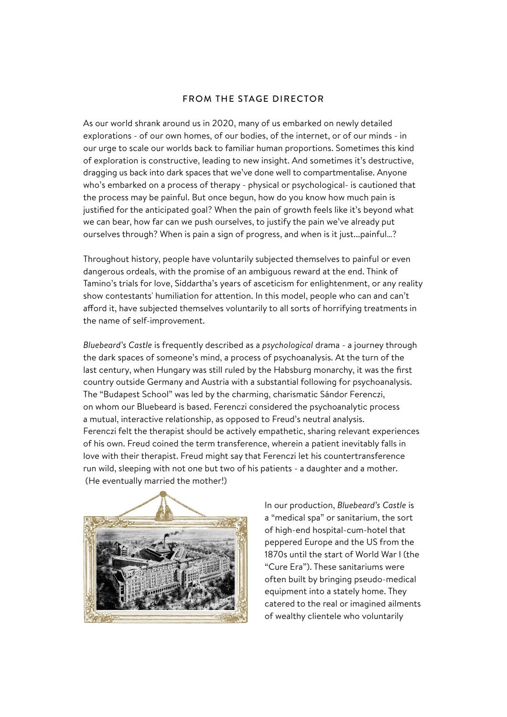## FROM THE STAGE DIRECTOR

As our world shrank around us in 2020, many of us embarked on newly detailed explorations - of our own homes, of our bodies, of the internet, or of our minds - in our urge to scale our worlds back to familiar human proportions. Sometimes this kind of exploration is constructive, leading to new insight. And sometimes it's destructive, dragging us back into dark spaces that we've done well to compartmentalise. Anyone who's embarked on a process of therapy - physical or psychological- is cautioned that the process may be painful. But once begun, how do you know how much pain is justified for the anticipated goal? When the pain of growth feels like it's beyond what we can bear, how far can we push ourselves, to justify the pain we've already put ourselves through? When is pain a sign of progress, and when is it just...painful…?

Throughout history, people have voluntarily subjected themselves to painful or even dangerous ordeals, with the promise of an ambiguous reward at the end. Think of Tamino's trials for love, Siddartha's years of asceticism for enlightenment, or any reality show contestants' humiliation for attention. In this model, people who can and can't afford it, have subjected themselves voluntarily to all sorts of horrifying treatments in the name of self-improvement.

*Bluebeard's Castle* is frequently described as a *psychological* drama - a journey through the dark spaces of someone's mind, a process of psychoanalysis. At the turn of the last century, when Hungary was still ruled by the Habsburg monarchy, it was the first country outside Germany and Austria with a substantial following for psychoanalysis. The "Budapest School" was led by the charming, charismatic Sándor Ferenczi, on whom our Bluebeard is based. Ferenczi considered the psychoanalytic process a mutual, interactive relationship, as opposed to Freud's neutral analysis. Ferenczi felt the therapist should be actively empathetic, sharing relevant experiences of his own. Freud coined the term transference, wherein a patient inevitably falls in love with their therapist. Freud might say that Ferenczi let his countertransference run wild, sleeping with not one but two of his patients - a daughter and a mother. (He eventually married the mother!)



In our production, *Bluebeard's Castle* is a "medical spa" or sanitarium, the sort of high-end hospital-cum-hotel that peppered Europe and the US from the 1870s until the start of World War I (the "Cure Era"). These sanitariums were often built by bringing pseudo-medical equipment into a stately home. They catered to the real or imagined ailments of wealthy clientele who voluntarily